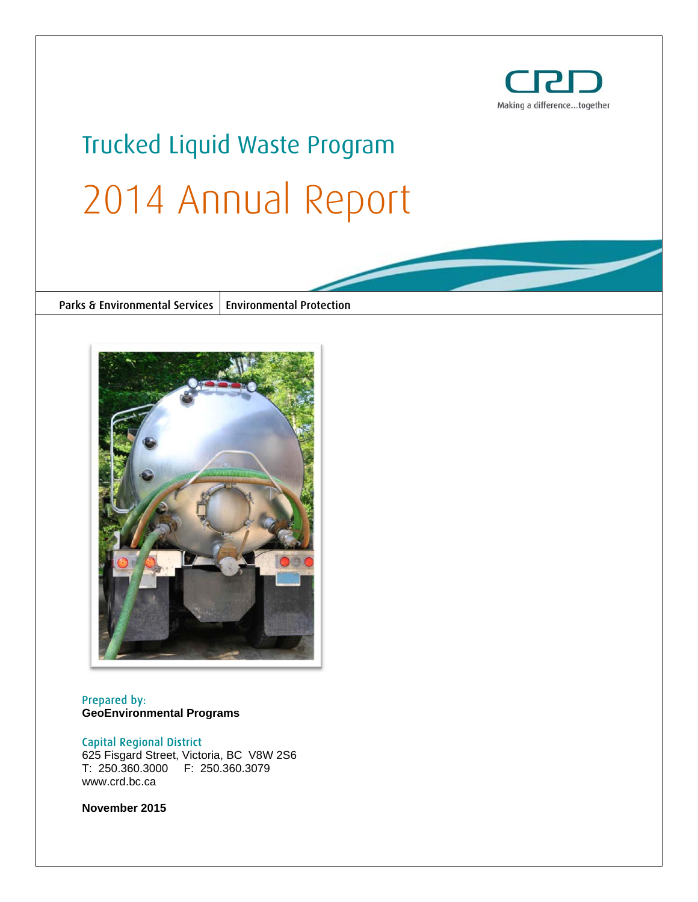

# Trucked Liquid Waste Program 2014 Annual Report

Parks & Environmental Services | Environmental Protection



# Prepared by: **GeoEnvironmental Programs**

### Capital Regional District

625 Fisgard Street, Victoria, BC V8W 2S6 T: 250.360.3000 F: 250.360.3079 www.crd.bc.ca

**November 2015**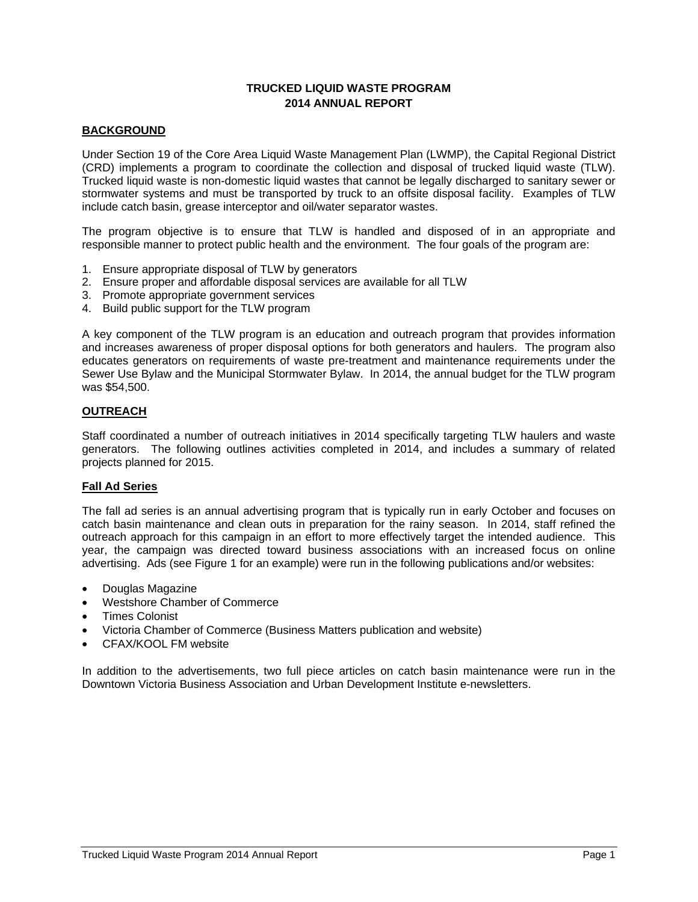# **TRUCKED LIQUID WASTE PROGRAM 2014 ANNUAL REPORT**

## **BACKGROUND**

Under Section 19 of the Core Area Liquid Waste Management Plan (LWMP), the Capital Regional District (CRD) implements a program to coordinate the collection and disposal of trucked liquid waste (TLW). Trucked liquid waste is non-domestic liquid wastes that cannot be legally discharged to sanitary sewer or stormwater systems and must be transported by truck to an offsite disposal facility. Examples of TLW include catch basin, grease interceptor and oil/water separator wastes.

The program objective is to ensure that TLW is handled and disposed of in an appropriate and responsible manner to protect public health and the environment. The four goals of the program are:

- 1. Ensure appropriate disposal of TLW by generators
- 2. Ensure proper and affordable disposal services are available for all TLW
- 3. Promote appropriate government services
- 4. Build public support for the TLW program

A key component of the TLW program is an education and outreach program that provides information and increases awareness of proper disposal options for both generators and haulers. The program also educates generators on requirements of waste pre-treatment and maintenance requirements under the Sewer Use Bylaw and the Municipal Stormwater Bylaw. In 2014, the annual budget for the TLW program was \$54,500.

# **OUTREACH**

Staff coordinated a number of outreach initiatives in 2014 specifically targeting TLW haulers and waste generators. The following outlines activities completed in 2014, and includes a summary of related projects planned for 2015.

#### **Fall Ad Series**

The fall ad series is an annual advertising program that is typically run in early October and focuses on catch basin maintenance and clean outs in preparation for the rainy season. In 2014, staff refined the outreach approach for this campaign in an effort to more effectively target the intended audience. This year, the campaign was directed toward business associations with an increased focus on online advertising. Ads (see Figure 1 for an example) were run in the following publications and/or websites:

- Douglas Magazine
- Westshore Chamber of Commerce
- Times Colonist
- Victoria Chamber of Commerce (Business Matters publication and website)
- CFAX/KOOL FM website

In addition to the advertisements, two full piece articles on catch basin maintenance were run in the Downtown Victoria Business Association and Urban Development Institute e-newsletters.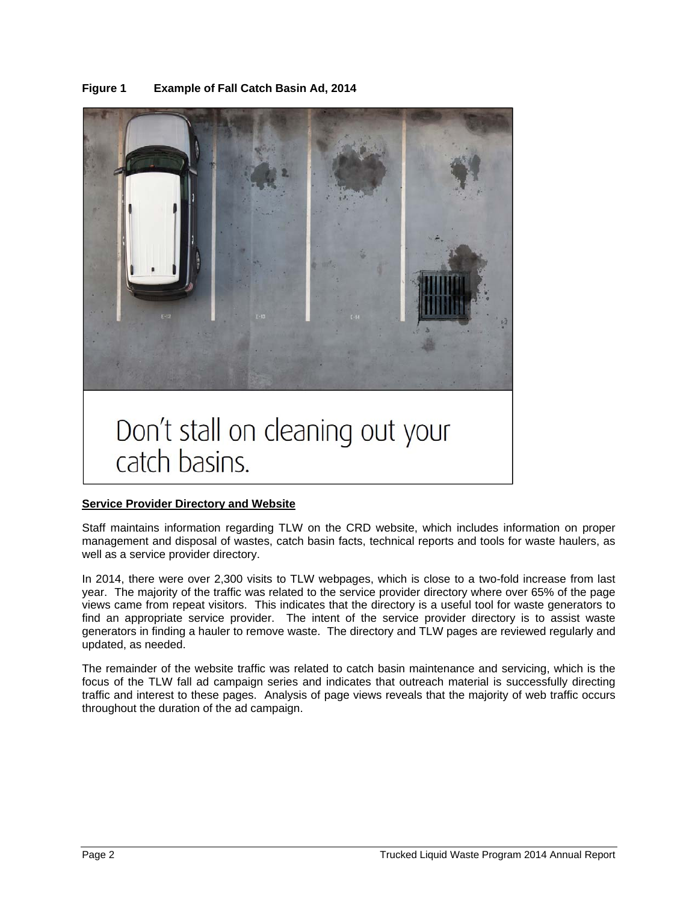**Figure 1 Example of Fall Catch Basin Ad, 2014** 



# Don't stall on cleaning out your catch basins.

# **Service Provider Directory and Website**

Staff maintains information regarding TLW on the CRD website, which includes information on proper management and disposal of wastes, catch basin facts, technical reports and tools for waste haulers, as well as a service provider directory.

In 2014, there were over 2,300 visits to TLW webpages, which is close to a two-fold increase from last year. The majority of the traffic was related to the service provider directory where over 65% of the page views came from repeat visitors. This indicates that the directory is a useful tool for waste generators to find an appropriate service provider. The intent of the service provider directory is to assist waste generators in finding a hauler to remove waste. The directory and TLW pages are reviewed regularly and updated, as needed.

The remainder of the website traffic was related to catch basin maintenance and servicing, which is the focus of the TLW fall ad campaign series and indicates that outreach material is successfully directing traffic and interest to these pages. Analysis of page views reveals that the majority of web traffic occurs throughout the duration of the ad campaign.